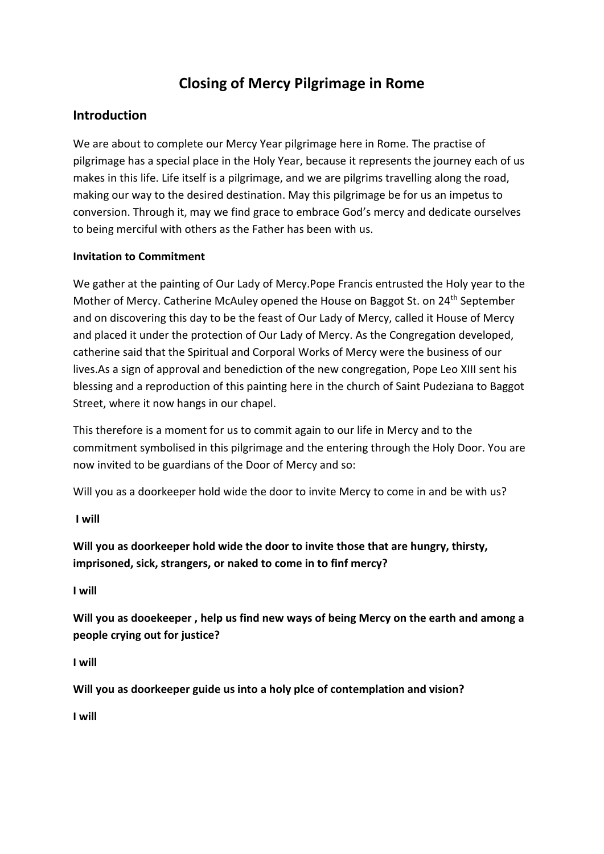# **Closing of Mercy Pilgrimage in Rome**

## **Introduction**

We are about to complete our Mercy Year pilgrimage here in Rome. The practise of pilgrimage has a special place in the Holy Year, because it represents the journey each of us makes in this life. Life itself is a pilgrimage, and we are pilgrims travelling along the road, making our way to the desired destination. May this pilgrimage be for us an impetus to conversion. Through it, may we find grace to embrace God's mercy and dedicate ourselves to being merciful with others as the Father has been with us.

## **Invitation to Commitment**

We gather at the painting of Our Lady of Mercy.Pope Francis entrusted the Holy year to the Mother of Mercy. Catherine McAuley opened the House on Baggot St. on 24<sup>th</sup> September and on discovering this day to be the feast of Our Lady of Mercy, called it House of Mercy and placed it under the protection of Our Lady of Mercy. As the Congregation developed, catherine said that the Spiritual and Corporal Works of Mercy were the business of our lives.As a sign of approval and benediction of the new congregation, Pope Leo XIII sent his blessing and a reproduction of this painting here in the church of Saint Pudeziana to Baggot Street, where it now hangs in our chapel.

This therefore is a moment for us to commit again to our life in Mercy and to the commitment symbolised in this pilgrimage and the entering through the Holy Door. You are now invited to be guardians of the Door of Mercy and so:

Will you as a doorkeeper hold wide the door to invite Mercy to come in and be with us?

**I will**

**Will you as doorkeeper hold wide the door to invite those that are hungry, thirsty, imprisoned, sick, strangers, or naked to come in to finf mercy?**

**I will**

**Will you as dooekeeper , help us find new ways of being Mercy on the earth and among a people crying out for justice?**

**I will**

**Will you as doorkeeper guide us into a holy plce of contemplation and vision?**

**I will**